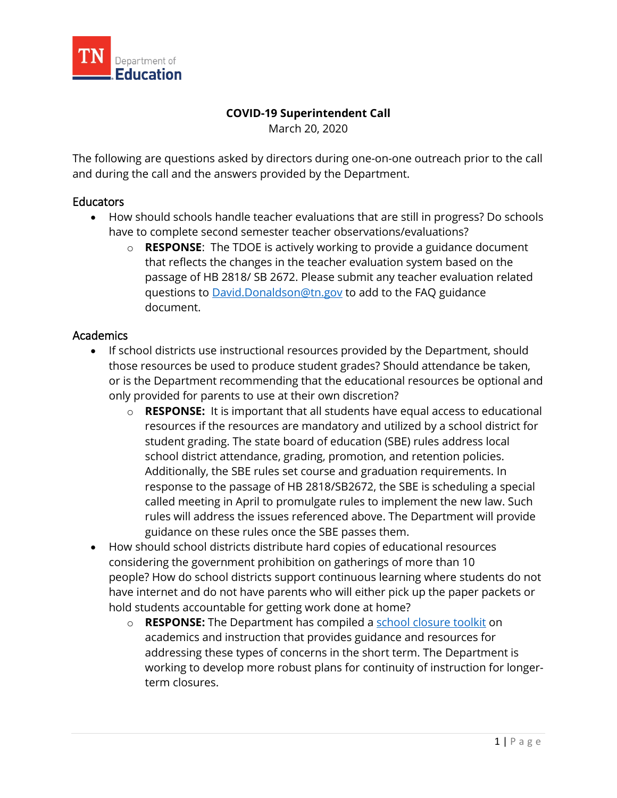

## **COVID-19 Superintendent Call**

March 20, 2020

The following are questions asked by directors during one-on-one outreach prior to the call and during the call and the answers provided by the Department.

## **Educators**

- How should schools handle teacher evaluations that are still in progress? Do schools have to complete second semester teacher observations/evaluations?
	- o **RESPONSE**: The TDOE is actively working to provide a guidance document that reflects the changes in the teacher evaluation system based on the passage of HB 2818/ SB 2672. Please submit any teacher evaluation related questions to [David.Donaldson@tn.gov](mailto:David.Donaldson@tn.gov) to add to the FAQ guidance document.

# Academics

- If school districts use instructional resources provided by the Department, should those resources be used to produce student grades? Should attendance be taken, or is the Department recommending that the educational resources be optional and only provided for parents to use at their own discretion?
	- o **RESPONSE:** It is important that all students have equal access to educational resources if the resources are mandatory and utilized by a school district for student grading. The state board of education (SBE) rules address local school district attendance, grading, promotion, and retention policies. Additionally, the SBE rules set course and graduation requirements. In response to the passage of HB 2818/SB2672, the SBE is scheduling a special called meeting in April to promulgate rules to implement the new law. Such rules will address the issues referenced above. The Department will provide guidance on these rules once the SBE passes them.
- How should school districts distribute hard copies of educational resources considering the government prohibition on gatherings of more than 10 people? How do school districts support continuous learning where students do not have internet and do not have parents who will either pick up the paper packets or hold students accountable for getting work done at home?
	- o **RESPONSE:** The Department has compiled a [school closure toolkit](https://www.tn.gov/education/health-and-safety/update-on-coronavirus.html) on academics and instruction that provides guidance and resources for addressing these types of concerns in the short term. The Department is working to develop more robust plans for continuity of instruction for longerterm closures.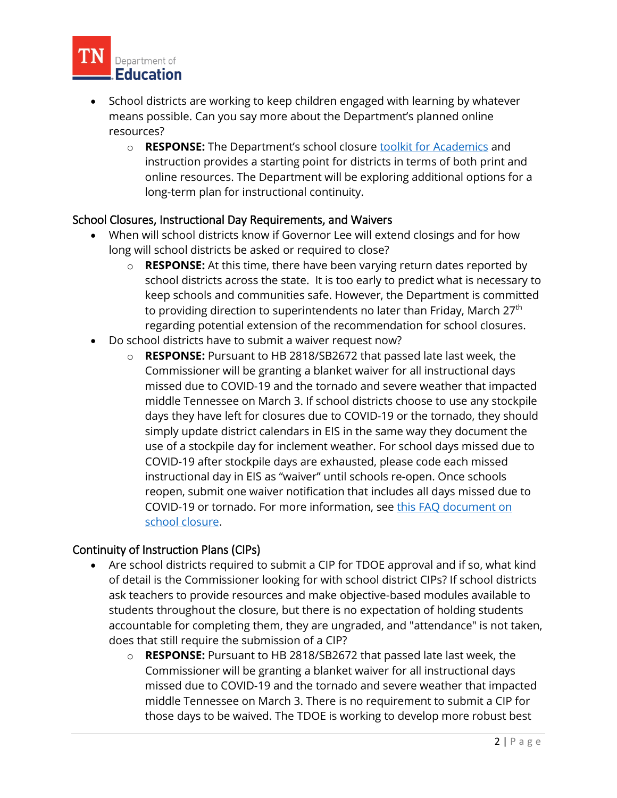

- School districts are working to keep children engaged with learning by whatever means possible. Can you say more about the Department's planned online resources?
	- o **RESPONSE:** The Department's school closure [toolkit for Academics](https://www.tn.gov/content/dam/tn/education/health-&-safety/School%20Closure%20Toolkit%20-%20Academics.pdf) and instruction provides a starting point for districts in terms of both print and online resources. The Department will be exploring additional options for a long-term plan for instructional continuity.

# School Closures, Instructional Day Requirements, and Waivers

- When will school districts know if Governor Lee will extend closings and for how long will school districts be asked or required to close?
	- o **RESPONSE:** At this time, there have been varying return dates reported by school districts across the state. It is too early to predict what is necessary to keep schools and communities safe. However, the Department is committed to providing direction to superintendents no later than Friday, March 27<sup>th</sup> regarding potential extension of the recommendation for school closures.
- Do school districts have to submit a waiver request now?
	- o **RESPONSE:** Pursuant to HB 2818/SB2672 that passed late last week, the Commissioner will be granting a blanket waiver for all instructional days missed due to COVID-19 and the tornado and severe weather that impacted middle Tennessee on March 3. If school districts choose to use any stockpile days they have left for closures due to COVID-19 or the tornado, they should simply update district calendars in EIS in the same way they document the use of a stockpile day for inclement weather. For school days missed due to COVID-19 after stockpile days are exhausted, please code each missed instructional day in EIS as "waiver" until schools re-open. Once schools reopen, submit one waiver notification that includes all days missed due to COVID-19 or tornado. For more information, see [this FAQ document on](https://www.tn.gov/content/dam/tn/education/health-&-safety/FAQs_on_School_Closure_COVID-19_Guidance_3.17.20.pdf)  [school closure.](https://www.tn.gov/content/dam/tn/education/health-&-safety/FAQs_on_School_Closure_COVID-19_Guidance_3.17.20.pdf)

#### Continuity of Instruction Plans (CIPs)

- Are school districts required to submit a CIP for TDOE approval and if so, what kind of detail is the Commissioner looking for with school district CIPs? If school districts ask teachers to provide resources and make objective-based modules available to students throughout the closure, but there is no expectation of holding students accountable for completing them, they are ungraded, and "attendance" is not taken, does that still require the submission of a CIP?
	- o **RESPONSE:** Pursuant to HB 2818/SB2672 that passed late last week, the Commissioner will be granting a blanket waiver for all instructional days missed due to COVID-19 and the tornado and severe weather that impacted middle Tennessee on March 3. There is no requirement to submit a CIP for those days to be waived. The TDOE is working to develop more robust best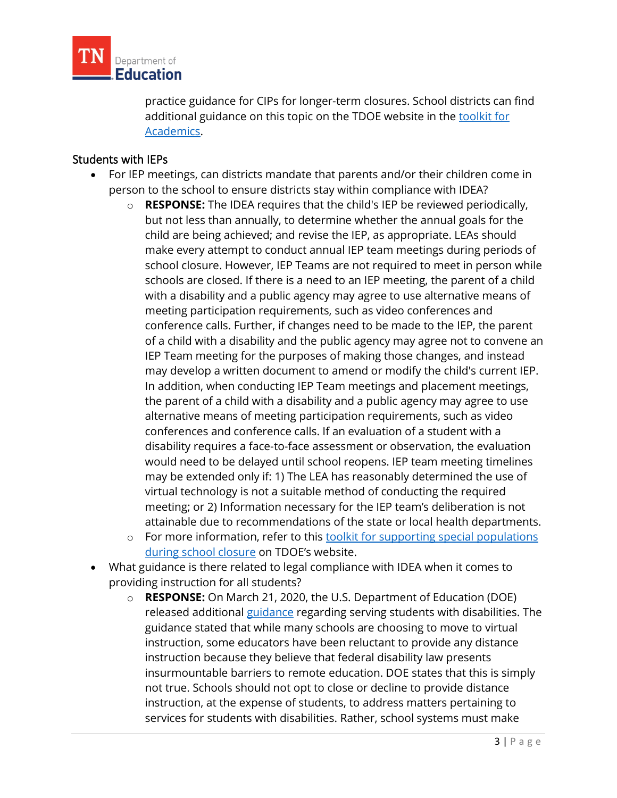

practice guidance for CIPs for longer-term closures. School districts can find additional guidance on this topic on the TDOE website in the [toolkit for](https://www.tn.gov/content/dam/tn/education/health-&-safety/School%20Closure%20Toolkit%20-%20Academics.pdf)  [Academics.](https://www.tn.gov/content/dam/tn/education/health-&-safety/School%20Closure%20Toolkit%20-%20Academics.pdf)

# Students with IEPs

- For IEP meetings, can districts mandate that parents and/or their children come in person to the school to ensure districts stay within compliance with IDEA?
	- o **RESPONSE:** The IDEA requires that the child's IEP be reviewed periodically, but not less than annually, to determine whether the annual goals for the child are being achieved; and revise the IEP, as appropriate. LEAs should make every attempt to conduct annual IEP team meetings during periods of school closure. However, IEP Teams are not required to meet in person while schools are closed. If there is a need to an IEP meeting, the parent of a child with a disability and a public agency may agree to use alternative means of meeting participation requirements, such as video conferences and conference calls. Further, if changes need to be made to the IEP, the parent of a child with a disability and the public agency may agree not to convene an IEP Team meeting for the purposes of making those changes, and instead may develop a written document to amend or modify the child's current IEP. In addition, when conducting IEP Team meetings and placement meetings, the parent of a child with a disability and a public agency may agree to use alternative means of meeting participation requirements, such as video conferences and conference calls. If an evaluation of a student with a disability requires a face-to-face assessment or observation, the evaluation would need to be delayed until school reopens. IEP team meeting timelines may be extended only if: 1) The LEA has reasonably determined the use of virtual technology is not a suitable method of conducting the required meeting; or 2) Information necessary for the IEP team's deliberation is not attainable due to recommendations of the state or local health departments.
	- o For more information, refer to this toolkit for supporting special populations [during school closure](https://www.tn.gov/content/dam/tn/education/health-&-safety/School_Closure_Toolkit-Special%20Populations.pdf) on TDOE's website.
- What guidance is there related to legal compliance with IDEA when it comes to providing instruction for all students?
	- o **RESPONSE:** On March 21, 2020, the U.S. Department of Education (DOE) released additional [guidance](https://www2.ed.gov/about/offices/list/ocr/frontpage/faq/rr/policyguidance/Supple%20Fact%20Sheet%203.21.20%20FINAL.pdf?utm_content=&utm_medium=email&utm_name=&utm_source=govdelivery&utm_term=) regarding serving students with disabilities. The guidance stated that while many schools are choosing to move to virtual instruction, some educators have been reluctant to provide any distance instruction because they believe that federal disability law presents insurmountable barriers to remote education. DOE states that this is simply not true. Schools should not opt to close or decline to provide distance instruction, at the expense of students, to address matters pertaining to services for students with disabilities. Rather, school systems must make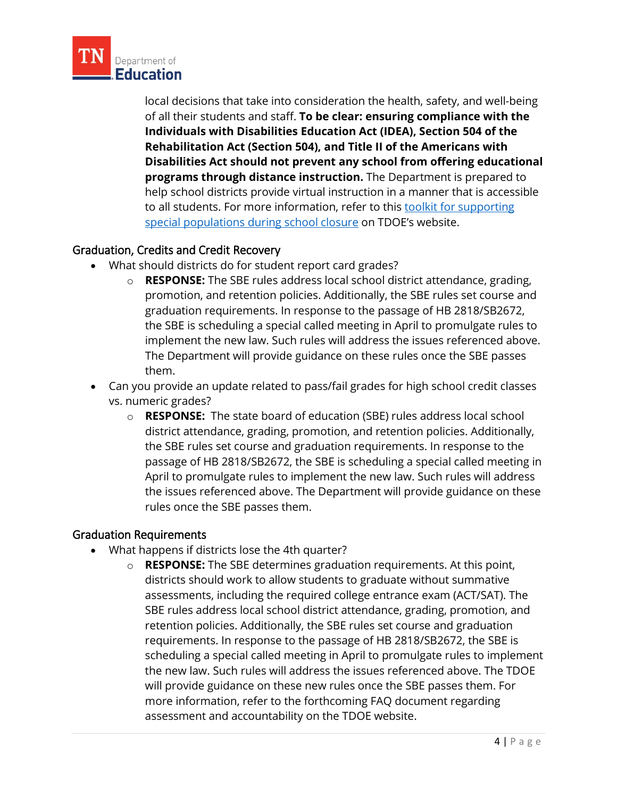

local decisions that take into consideration the health, safety, and well-being of all their students and staff. **To be clear: ensuring compliance with the Individuals with Disabilities Education Act (IDEA), Section 504 of the Rehabilitation Act (Section 504), and Title II of the Americans with Disabilities Act should not prevent any school from offering educational programs through distance instruction.** The Department is prepared to help school districts provide virtual instruction in a manner that is accessible to all students. For more information, refer to this toolkit for supporting [special populations during school closure](https://www.tn.gov/content/dam/tn/education/health-&-safety/School_Closure_Toolkit-Special%20Populations.pdf) on TDOE's website.

#### Graduation, Credits and Credit Recovery

- What should districts do for student report card grades?
	- o **RESPONSE:** The SBE rules address local school district attendance, grading, promotion, and retention policies. Additionally, the SBE rules set course and graduation requirements. In response to the passage of HB 2818/SB2672, the SBE is scheduling a special called meeting in April to promulgate rules to implement the new law. Such rules will address the issues referenced above. The Department will provide guidance on these rules once the SBE passes them.
- Can you provide an update related to pass/fail grades for high school credit classes vs. numeric grades?
	- o **RESPONSE:** The state board of education (SBE) rules address local school district attendance, grading, promotion, and retention policies. Additionally, the SBE rules set course and graduation requirements. In response to the passage of HB 2818/SB2672, the SBE is scheduling a special called meeting in April to promulgate rules to implement the new law. Such rules will address the issues referenced above. The Department will provide guidance on these rules once the SBE passes them.

#### Graduation Requirements

- What happens if districts lose the 4th quarter?
	- o **RESPONSE:** The SBE determines graduation requirements. At this point, districts should work to allow students to graduate without summative assessments, including the required college entrance exam (ACT/SAT). The SBE rules address local school district attendance, grading, promotion, and retention policies. Additionally, the SBE rules set course and graduation requirements. In response to the passage of HB 2818/SB2672, the SBE is scheduling a special called meeting in April to promulgate rules to implement the new law. Such rules will address the issues referenced above. The TDOE will provide guidance on these new rules once the SBE passes them. For more information, refer to the forthcoming FAQ document regarding assessment and accountability on the TDOE website.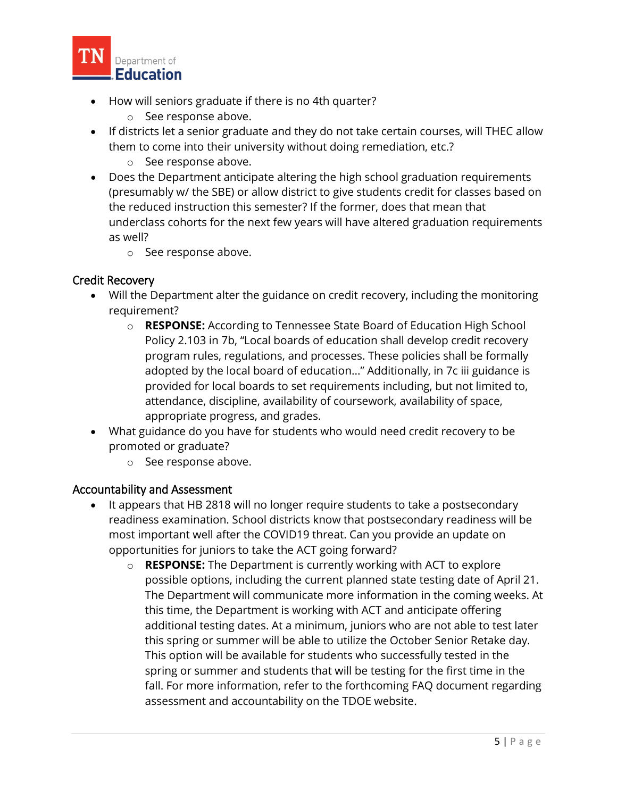

- How will seniors graduate if there is no 4th quarter?
	- o See response above.
- If districts let a senior graduate and they do not take certain courses, will THEC allow them to come into their university without doing remediation, etc.?
	- o See response above.
- Does the Department anticipate altering the high school graduation requirements (presumably w/ the SBE) or allow district to give students credit for classes based on the reduced instruction this semester? If the former, does that mean that underclass cohorts for the next few years will have altered graduation requirements as well?
	- o See response above.

# Credit Recovery

- Will the Department alter the guidance on credit recovery, including the monitoring requirement?
	- o **RESPONSE:** According to Tennessee State Board of Education High School Policy 2.103 in 7b, "Local boards of education shall develop credit recovery program rules, regulations, and processes. These policies shall be formally adopted by the local board of education..." Additionally, in 7c iii guidance is provided for local boards to set requirements including, but not limited to, attendance, discipline, availability of coursework, availability of space, appropriate progress, and grades.
- What guidance do you have for students who would need credit recovery to be promoted or graduate?
	- o See response above.

#### Accountability and Assessment

- It appears that HB 2818 will no longer require students to take a postsecondary readiness examination. School districts know that postsecondary readiness will be most important well after the COVID19 threat. Can you provide an update on opportunities for juniors to take the ACT going forward?
	- o **RESPONSE:** The Department is currently working with ACT to explore possible options, including the current planned state testing date of April 21. The Department will communicate more information in the coming weeks. At this time, the Department is working with ACT and anticipate offering additional testing dates. At a minimum, juniors who are not able to test later this spring or summer will be able to utilize the October Senior Retake day. This option will be available for students who successfully tested in the spring or summer and students that will be testing for the first time in the fall. For more information, refer to the forthcoming FAQ document regarding assessment and accountability on the TDOE website.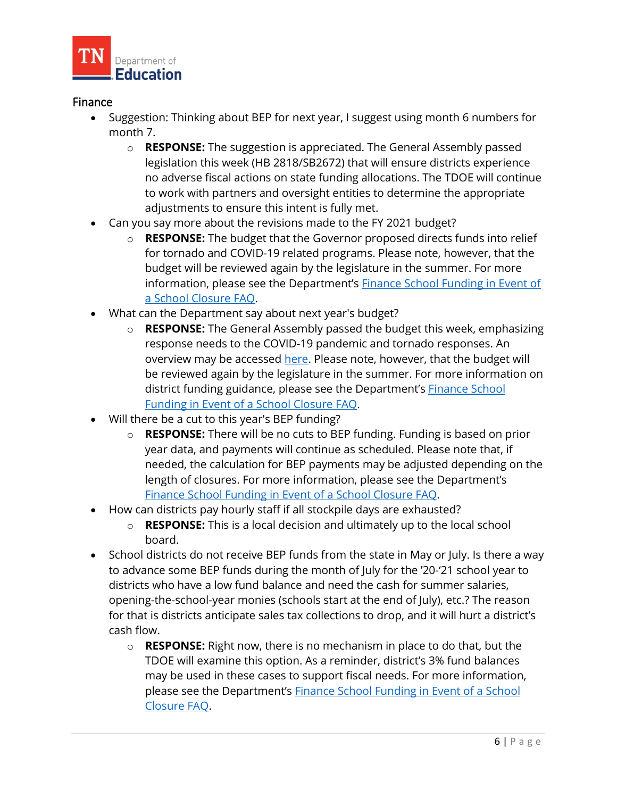

## Finance

- Suggestion: Thinking about BEP for next year, I suggest using month 6 numbers for month 7.
	- o **RESPONSE:** The suggestion is appreciated. The General Assembly passed legislation this week (HB 2818/SB2672) that will ensure districts experience no adverse fiscal actions on state funding allocations. The TDOE will continue to work with partners and oversight entities to determine the appropriate adjustments to ensure this intent is fully met.
- Can you say more about the revisions made to the FY 2021 budget?
	- o **RESPONSE:** The budget that the Governor proposed directs funds into relief for tornado and COVID-19 related programs. Please note, however, that the budget will be reviewed again by the legislature in the summer. For more information, please see the Department's [Finance School Funding in Event of](https://www.tn.gov/content/dam/tn/education/health-&-safety/Finance%20School%20Funding%20in%20Event%20of%20a%20Closure%20COVID-19%20Guidance.pdf)  [a School Closure FAQ.](https://www.tn.gov/content/dam/tn/education/health-&-safety/Finance%20School%20Funding%20in%20Event%20of%20a%20Closure%20COVID-19%20Guidance.pdf)
- What can the Department say about next year's budget?
	- o **RESPONSE:** The General Assembly passed the budget this week, emphasizing response needs to the COVID-19 pandemic and tornado responses. An overview may be accessed [here.](http://onthehill.tnjournal.net/wp-content/uploads/2020/03/FY21-Amendment-Overview-Schedule-FINAL.pdf) Please note, however, that the budget will be reviewed again by the legislature in the summer. For more information on district funding guidance, please see the Department's [Finance School](https://www.tn.gov/content/dam/tn/education/health-&-safety/Finance%20School%20Funding%20in%20Event%20of%20a%20Closure%20COVID-19%20Guidance.pdf)  [Funding in Event of a School Closure FAQ.](https://www.tn.gov/content/dam/tn/education/health-&-safety/Finance%20School%20Funding%20in%20Event%20of%20a%20Closure%20COVID-19%20Guidance.pdf)
- Will there be a cut to this year's BEP funding?
	- o **RESPONSE:** There will be no cuts to BEP funding. Funding is based on prior year data, and payments will continue as scheduled. Please note that, if needed, the calculation for BEP payments may be adjusted depending on the length of closures. For more information, please see the Department's [Finance School Funding in Event of a School Closure FAQ.](https://www.tn.gov/content/dam/tn/education/health-&-safety/Finance%20School%20Funding%20in%20Event%20of%20a%20Closure%20COVID-19%20Guidance.pdf)
- How can districts pay hourly staff if all stockpile days are exhausted?
	- o **RESPONSE:** This is a local decision and ultimately up to the local school board.
- School districts do not receive BEP funds from the state in May or July. Is there a way to advance some BEP funds during the month of July for the '20-'21 school year to districts who have a low fund balance and need the cash for summer salaries, opening-the-school-year monies (schools start at the end of July), etc.? The reason for that is districts anticipate sales tax collections to drop, and it will hurt a district's cash flow.
	- o **RESPONSE:** Right now, there is no mechanism in place to do that, but the TDOE will examine this option. As a reminder, district's 3% fund balances may be used in these cases to support fiscal needs. For more information, please see the Department's **Finance School Funding in Event of a School** [Closure FAQ.](https://www.tn.gov/content/dam/tn/education/health-&-safety/Finance%20School%20Funding%20in%20Event%20of%20a%20Closure%20COVID-19%20Guidance.pdf)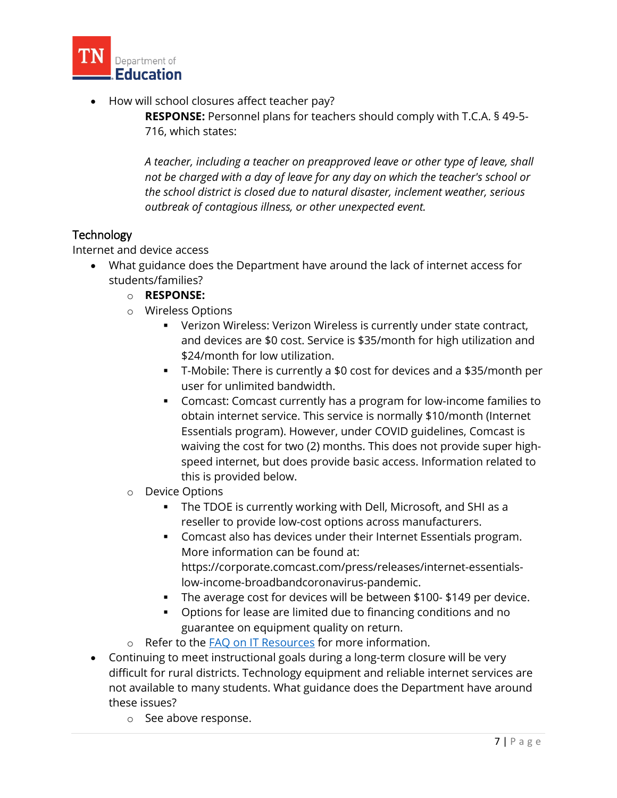

• How will school closures affect teacher pay?

**RESPONSE:** Personnel plans for teachers should comply with T.C.A. § 49-5- 716, which states:

*A teacher, including a teacher on preapproved leave or other type of leave, shall not be charged with a day of leave for any day on which the teacher's school or the school district is closed due to natural disaster, inclement weather, serious outbreak of contagious illness, or other unexpected event.*

# **Technology**

Internet and device access

- What guidance does the Department have around the lack of internet access for students/families?
	- o **RESPONSE:**
	- o Wireless Options
		- Verizon Wireless: Verizon Wireless is currently under state contract, and devices are \$0 cost. Service is \$35/month for high utilization and \$24/month for low utilization.
		- T-Mobile: There is currently a \$0 cost for devices and a \$35/month per user for unlimited bandwidth.
		- Comcast: Comcast currently has a program for low-income families to obtain internet service. This service is normally \$10/month (Internet Essentials program). However, under COVID guidelines, Comcast is waiving the cost for two (2) months. This does not provide super highspeed internet, but does provide basic access. Information related to this is provided below.
	- o Device Options
		- The TDOE is currently working with Dell, Microsoft, and SHI as a reseller to provide low-cost options across manufacturers.
		- Comcast also has devices under their Internet Essentials program. More information can be found at: https://corporate.comcast.com/press/releases/internet-essentialslow-income-broadbandcoronavirus-pandemic.
		- The average cost for devices will be between \$100-\$149 per device.
		- Options for lease are limited due to financing conditions and no guarantee on equipment quality on return.
	- o Refer to the [FAQ on IT Resources](https://www.tn.gov/content/dam/tn/education/health-&-safety/ITResourcesCOVID-19Guidance.pdf) for more information.
- Continuing to meet instructional goals during a long-term closure will be very difficult for rural districts. Technology equipment and reliable internet services are not available to many students. What guidance does the Department have around these issues?
	- o See above response.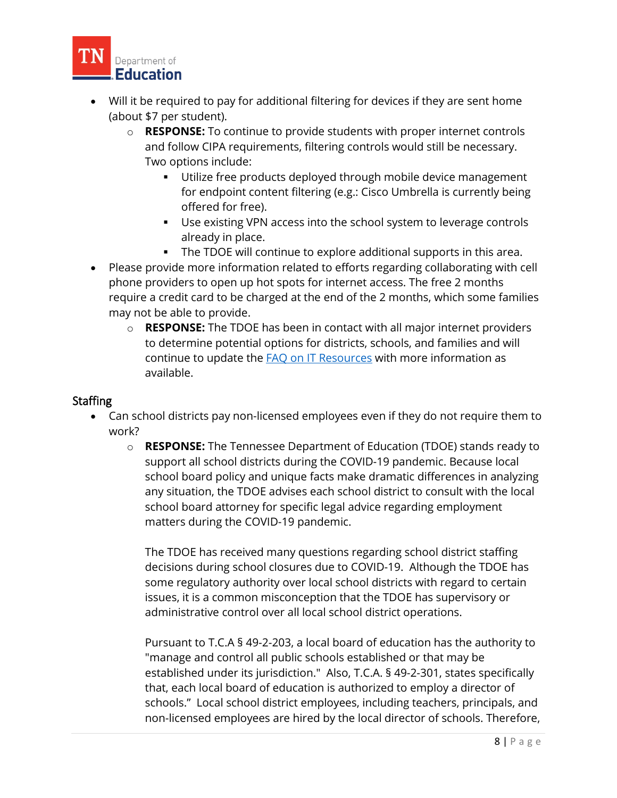

- Will it be required to pay for additional filtering for devices if they are sent home (about \$7 per student).
	- o **RESPONSE:** To continue to provide students with proper internet controls and follow CIPA requirements, filtering controls would still be necessary. Two options include:
		- **Utilize free products deployed through mobile device management** for endpoint content filtering (e.g.: Cisco Umbrella is currently being offered for free).
		- Use existing VPN access into the school system to leverage controls already in place.
		- The TDOE will continue to explore additional supports in this area.
- Please provide more information related to efforts regarding collaborating with cell phone providers to open up hot spots for internet access. The free 2 months require a credit card to be charged at the end of the 2 months, which some families may not be able to provide.
	- o **RESPONSE:** The TDOE has been in contact with all major internet providers to determine potential options for districts, schools, and families and will continue to update the **FAQ on IT Resources** with more information as available.

## **Staffing**

- Can school districts pay non-licensed employees even if they do not require them to work?
	- o **RESPONSE:** The Tennessee Department of Education (TDOE) stands ready to support all school districts during the COVID-19 pandemic. Because local school board policy and unique facts make dramatic differences in analyzing any situation, the TDOE advises each school district to consult with the local school board attorney for specific legal advice regarding employment matters during the COVID-19 pandemic.

The TDOE has received many questions regarding school district staffing decisions during school closures due to COVID-19. Although the TDOE has some regulatory authority over local school districts with regard to certain issues, it is a common misconception that the TDOE has supervisory or administrative control over all local school district operations.

Pursuant to T.C.A § 49-2-203, a local board of education has the authority to "manage and control all public schools established or that may be established under its jurisdiction." Also, T.C.A. § 49-2-301, states specifically that, each local board of education is authorized to employ a director of schools." Local school district employees, including teachers, principals, and non-licensed employees are hired by the local director of schools. Therefore,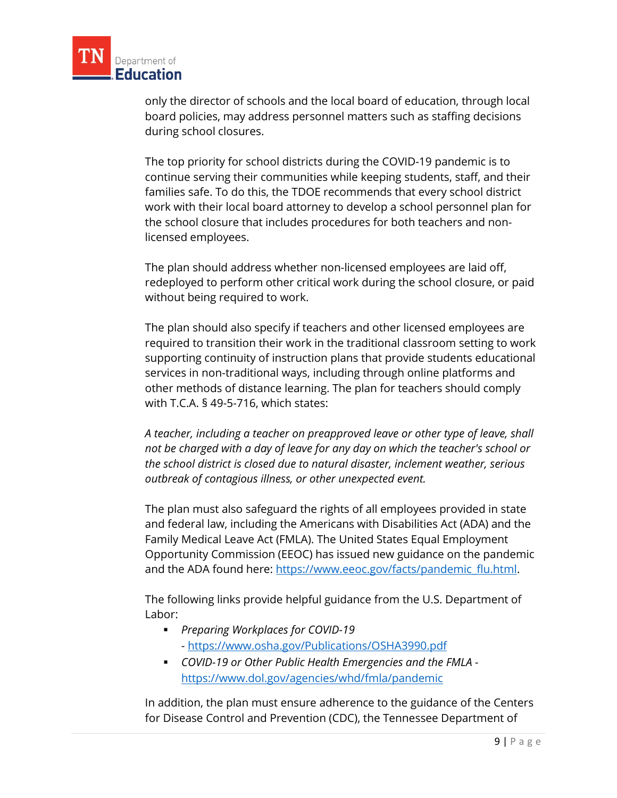

only the director of schools and the local board of education, through local board policies, may address personnel matters such as staffing decisions during school closures.

The top priority for school districts during the COVID-19 pandemic is to continue serving their communities while keeping students, staff, and their families safe. To do this, the TDOE recommends that every school district work with their local board attorney to develop a school personnel plan for the school closure that includes procedures for both teachers and nonlicensed employees.

The plan should address whether non-licensed employees are laid off, redeployed to perform other critical work during the school closure, or paid without being required to work.

The plan should also specify if teachers and other licensed employees are required to transition their work in the traditional classroom setting to work supporting continuity of instruction plans that provide students educational services in non-traditional ways, including through online platforms and other methods of distance learning. The plan for teachers should comply with T.C.A. § 49-5-716, which states:

*A teacher, including a teacher on preapproved leave or other type of leave, shall not be charged with a day of leave for any day on which the teacher's school or the school district is closed due to natural disaster, inclement weather, serious outbreak of contagious illness, or other unexpected event.*

The plan must also safeguard the rights of all employees provided in state and federal law, including the Americans with Disabilities Act (ADA) and the Family Medical Leave Act (FMLA). The United States Equal Employment Opportunity Commission (EEOC) has issued new guidance on the pandemic and the ADA found here: [https://www.eeoc.gov/facts/pandemic\\_flu.html.](https://www.eeoc.gov/facts/pandemic_flu.html)

The following links provide helpful guidance from the U.S. Department of Labor:

- *Preparing Workplaces for COVID-19* - <https://www.osha.gov/Publications/OSHA3990.pdf>
- *COVID-19 or Other Public Health Emergencies and the FMLA* <https://www.dol.gov/agencies/whd/fmla/pandemic>

In addition, the plan must ensure adherence to the guidance of the Centers for Disease Control and Prevention (CDC), the Tennessee Department of